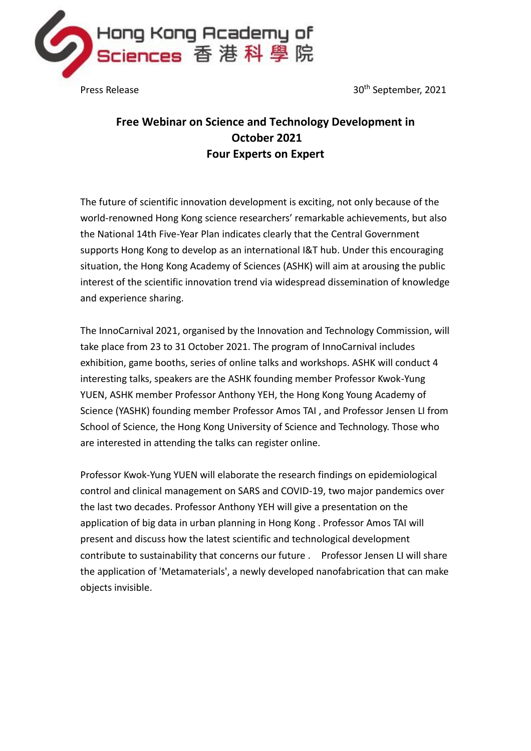

Press Release 30th September, 2021

# **Free Webinar on Science and Technology Development in October 2021 Four Experts on Expert**

The future of scientific innovation development is exciting, not only because of the world-renowned Hong Kong science researchers' remarkable achievements, but also the National 14th Five-Year Plan indicates clearly that the Central Government supports Hong Kong to develop as an international I&T hub. Under this encouraging situation, the Hong Kong Academy of Sciences (ASHK) will aim at arousing the public interest of the scientific innovation trend via widespread dissemination of knowledge and experience sharing.

The InnoCarnival 2021, organised by the Innovation and Technology Commission, will take place from 23 to 31 October 2021. The program of InnoCarnival includes exhibition, game booths, series of online talks and workshops. ASHK will conduct 4 interesting talks, speakers are the ASHK founding member Professor Kwok-Yung YUEN, ASHK member Professor Anthony YEH, the Hong Kong Young Academy of Science (YASHK) founding member Professor Amos TAI , and Professor Jensen LI from School of Science, the Hong Kong University of Science and Technology. Those who are interested in attending the talks can register online.

Professor Kwok-Yung YUEN will elaborate the research findings on epidemiological control and clinical management on SARS and COVID-19, two major pandemics over the last two decades. Professor Anthony YEH will give a presentation on the application of big data in urban planning in Hong Kong . Professor Amos TAI will present and discuss how the latest scientific and technological development contribute to sustainability that concerns our future . Professor Jensen LI will share the application of 'Metamaterials', a newly developed nanofabrication that can make objects invisible.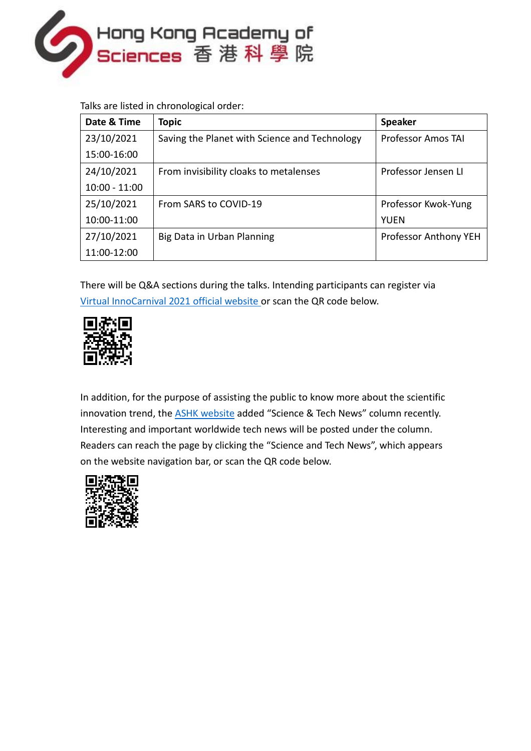

Talks are listed in chronological order:

| Date & Time     | <b>Topic</b>                                  | <b>Speaker</b>               |
|-----------------|-----------------------------------------------|------------------------------|
| 23/10/2021      | Saving the Planet with Science and Technology | <b>Professor Amos TAI</b>    |
| 15:00-16:00     |                                               |                              |
| 24/10/2021      | From invisibility cloaks to metalenses        | Professor Jensen LI          |
| $10:00 - 11:00$ |                                               |                              |
| 25/10/2021      | From SARS to COVID-19                         | Professor Kwok-Yung          |
| 10:00-11:00     |                                               | YUEN                         |
| 27/10/2021      | Big Data in Urban Planning                    | <b>Professor Anthony YEH</b> |
| 11:00-12:00     |                                               |                              |

There will be Q&A sections during the talks. Intending participants can register via [Virtual InnoCarnival 2021](https://innocarnival.hk/en/?) official website or scan the QR code below.



In addition, for the purpose of assisting the public to know more about the scientific innovation trend, the **ASHK website** added "Science & Tech News" column recently. Interesting and important worldwide tech news will be posted under the column. Readers can reach the page by clicking the "Science and Tech News", which appears on the website navigation bar, or scan the QR code below.

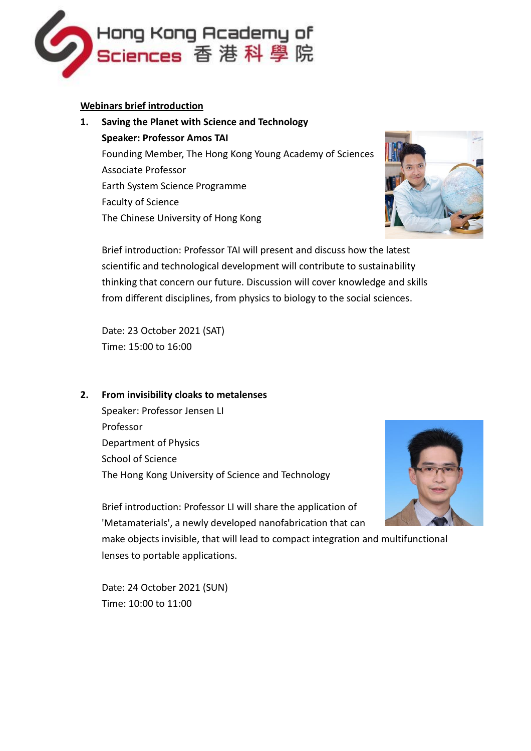

#### **Webinars brief introduction**

**1. Saving the Planet with Science and Technology Speaker: Professor Amos TAI** Founding Member, The Hong Kong Young Academy of Sciences Associate Professor Earth System Science Programme Faculty of Science The Chinese University of Hong Kong



Brief introduction: Professor TAI will present and discuss how the latest scientific and technological development will contribute to sustainability thinking that concern our future. Discussion will cover knowledge and skills from different disciplines, from physics to biology to the social sciences.

Date: 23 October 2021 (SAT) Time: 15:00 to 16:00

## **2. From invisibility cloaks to metalenses**

Speaker: Professor Jensen LI Professor Department of Physics School of Science The Hong Kong University of Science and Technology



Brief introduction: Professor LI will share the application of 'Metamaterials', a newly developed nanofabrication that can make objects invisible, that will lead to compact integration and multifunctional

lenses to portable applications.

Date: 24 October 2021 (SUN) Time: 10:00 to 11:00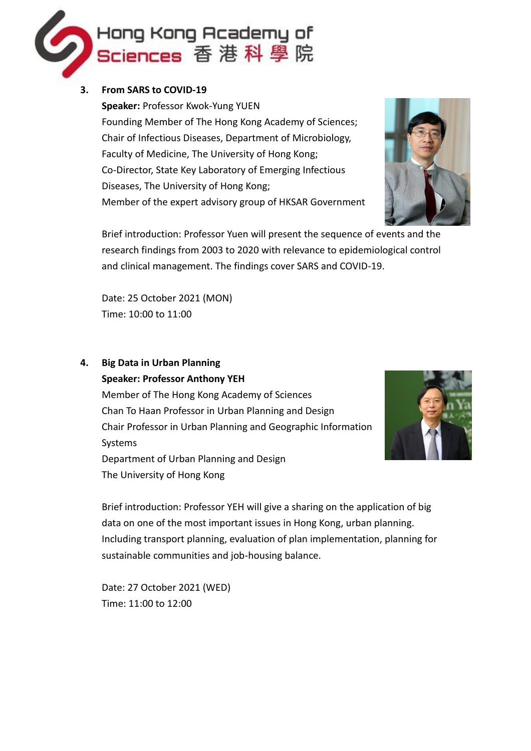

### **3. From SARS to COVID-19**

**Speaker:** Professor Kwok-Yung YUEN Founding Member of The Hong Kong Academy of Sciences; Chair of Infectious Diseases, Department of Microbiology, Faculty of Medicine, The University of Hong Kong; Co-Director, State Key Laboratory of Emerging Infectious Diseases, The University of Hong Kong; Member of the expert advisory group of HKSAR Government



Brief introduction: Professor Yuen will present the sequence of events and the research findings from 2003 to 2020 with relevance to epidemiological control and clinical management. The findings cover SARS and COVID-19.

Date: 25 October 2021 (MON) Time: 10:00 to 11:00

# **4. Big Data in Urban Planning**

**Speaker: Professor Anthony YEH**

Member of The Hong Kong Academy of Sciences Chan To Haan Professor in Urban Planning and Design Chair Professor in Urban Planning and Geographic Information Systems Department of Urban Planning and Design The University of Hong Kong



Brief introduction: Professor YEH will give a sharing on the application of big data on one of the most important issues in Hong Kong, urban planning. Including transport planning, evaluation of plan implementation, planning for sustainable communities and job-housing balance.

Date: 27 October 2021 (WED) Time: 11:00 to 12:00